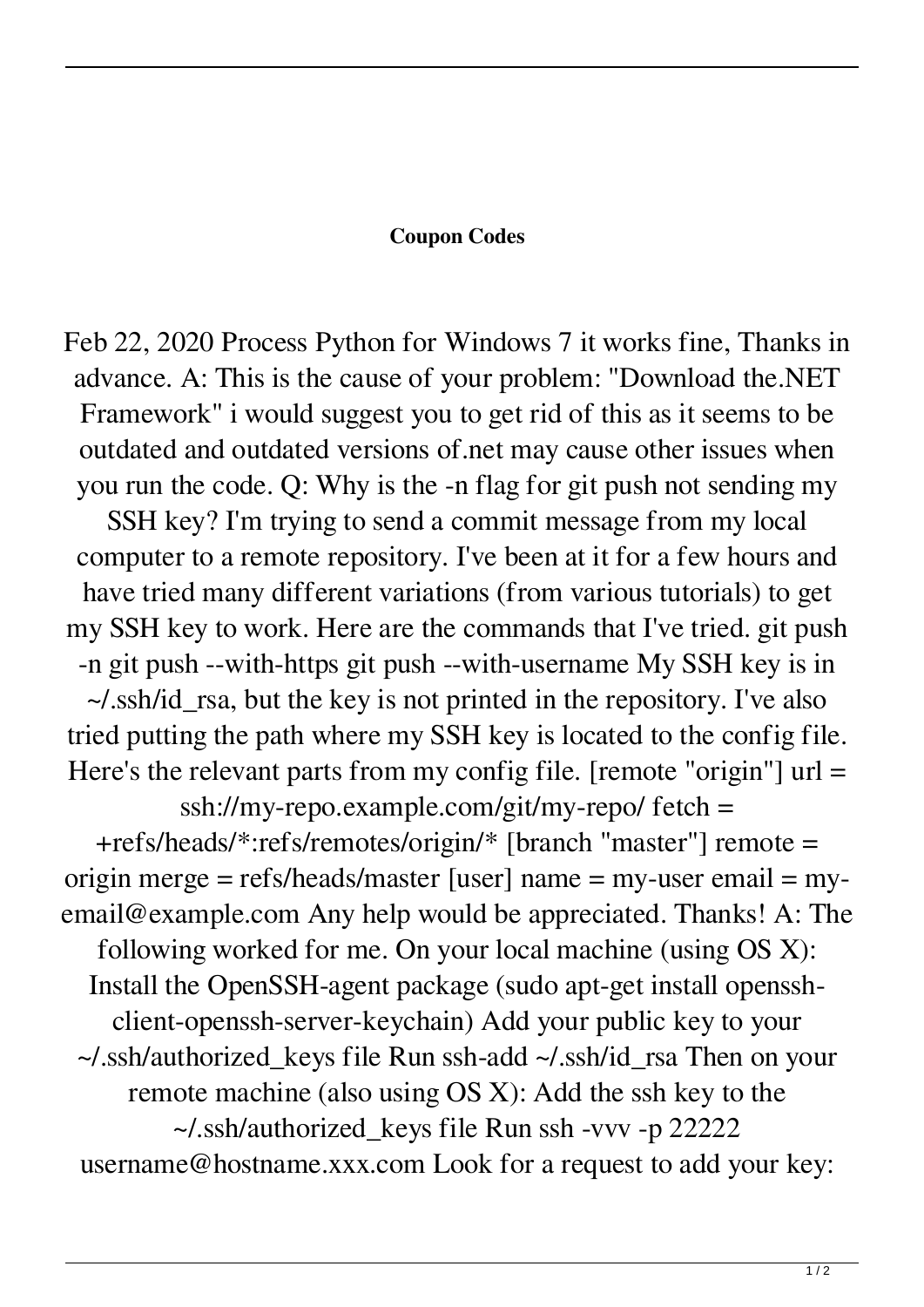## **Coupon Codes**

Feb 22, 2020 Process Python for Windows 7 it works fine, Thanks in advance. A: This is the cause of your problem: "Download the.NET Framework" i would suggest you to get rid of this as it seems to be outdated and outdated versions of.net may cause other issues when you run the code. Q: Why is the -n flag for git push not sending my SSH key? I'm trying to send a commit message from my local computer to a remote repository. I've been at it for a few hours and have tried many different variations (from various tutorials) to get my SSH key to work. Here are the commands that I've tried. git push -n git push --with-https git push --with-username My SSH key is in ~/.ssh/id\_rsa, but the key is not printed in the repository. I've also tried putting the path where my SSH key is located to the config file. Here's the relevant parts from my config file. [remote "origin"] url = ssh://my-repo.example.com/git/my-repo/ fetch = +refs/heads/\*:refs/remotes/origin/\* [branch "master"] remote = origin merge = refs/heads/master [user] name = my-user email = myemail@example.com Any help would be appreciated. Thanks! A: The following worked for me. On your local machine (using OS X): Install the OpenSSH-agent package (sudo apt-get install opensshclient-openssh-server-keychain) Add your public key to your ~/.ssh/authorized\_keys file Run ssh-add ~/.ssh/id\_rsa Then on your remote machine (also using OS X): Add the ssh key to the ~/.ssh/authorized\_keys file Run ssh -vvv -p 22222 username@hostname.xxx.com Look for a request to add your key: